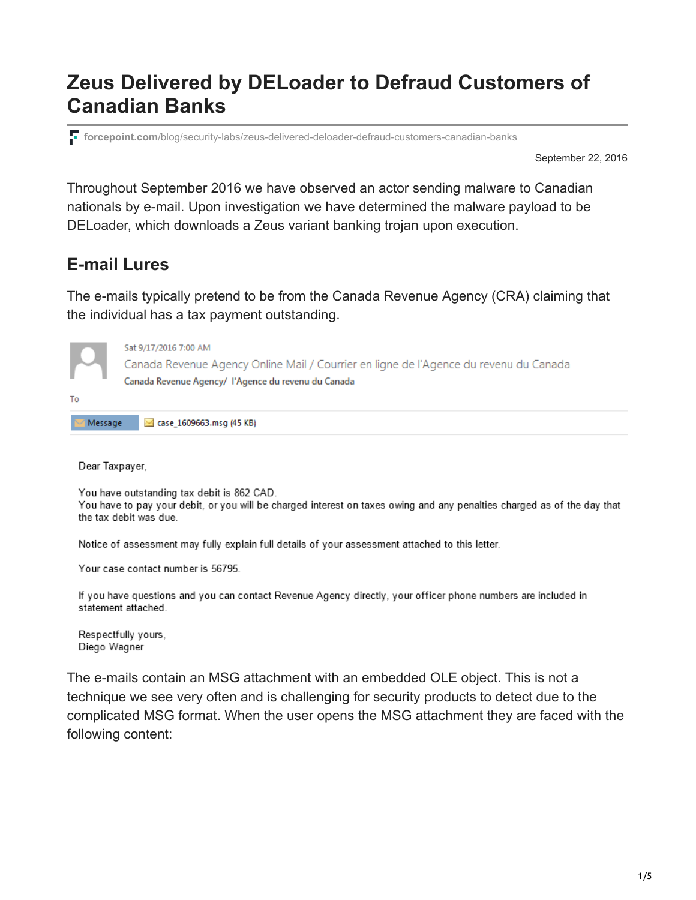# **Zeus Delivered by DELoader to Defraud Customers of Canadian Banks**

**forcepoint.com**[/blog/security-labs/zeus-delivered-deloader-defraud-customers-canadian-banks](https://www.forcepoint.com/blog/security-labs/zeus-delivered-deloader-defraud-customers-canadian-banks)

September 22, 2016

Throughout September 2016 we have observed an actor sending malware to Canadian nationals by e-mail. Upon investigation we have determined the malware payload to be DELoader, which downloads a Zeus variant banking trojan upon execution.

### **E-mail Lures**

The e-mails typically pretend to be from the Canada Revenue Agency (CRA) claiming that the individual has a tax payment outstanding.



Dear Taxpayer,

You have outstanding tax debit is 862 CAD.

You have to pay your debit, or you will be charged interest on taxes owing and any penalties charged as of the day that the tax debit was due.

Notice of assessment may fully explain full details of your assessment attached to this letter.

Your case contact number is 56795.

If you have questions and you can contact Revenue Agency directly, your officer phone numbers are included in statement attached.

Respectfully yours, Diego Wagner

The e-mails contain an MSG attachment with an embedded OLE object. This is not a technique we see very often and is challenging for security products to detect due to the complicated MSG format. When the user opens the MSG attachment they are faced with the following content: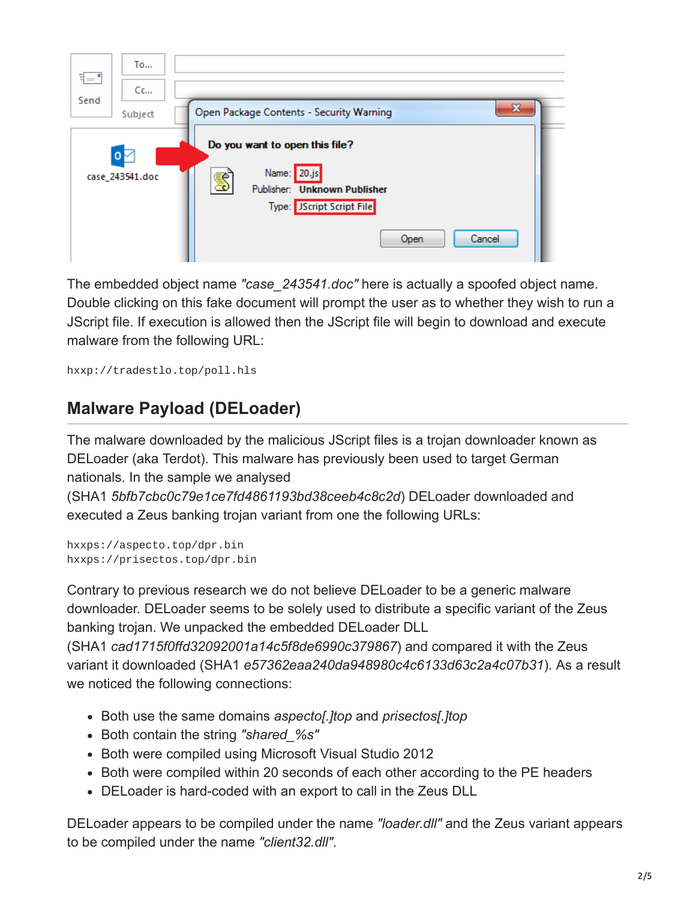

The embedded object name *"case\_243541.doc"* here is actually a spoofed object name. Double clicking on this fake document will prompt the user as to whether they wish to run a JScript file. If execution is allowed then the JScript file will begin to download and execute malware from the following URL:

hxxp://tradestlo.top/poll.hls

## **Malware Payload (DELoader)**

The malware downloaded by the malicious JScript files is a trojan downloader known as DELoader (aka Terdot). This malware has previously been used to target German nationals. In the sample we analysed

(SHA1 *5bfb7cbc0c79e1ce7fd4861193bd38ceeb4c8c2d*) DELoader downloaded and executed a Zeus banking trojan variant from one the following URLs:

```
hxxps://aspecto.top/dpr.bin
hxxps://prisectos.top/dpr.bin
```
Contrary to previous research we do not believe DELoader to be a generic malware downloader. DELoader seems to be solely used to distribute a specific variant of the Zeus banking trojan. We unpacked the embedded DELoader DLL

(SHA1 *cad1715f0ffd32092001a14c5f8de6990c379867*) and compared it with the Zeus variant it downloaded (SHA1 *e57362eaa240da948980c4c6133d63c2a4c07b31*). As a result we noticed the following connections:

- Both use the same domains *aspecto[.]top* and *prisectos[.]top*
- Both contain the string *"shared\_%s"*
- Both were compiled using Microsoft Visual Studio 2012
- Both were compiled within 20 seconds of each other according to the PE headers
- DELoader is hard-coded with an export to call in the Zeus DLL

DELoader appears to be compiled under the name *"loader.dll"* and the Zeus variant appears to be compiled under the name *"client32.dll"*.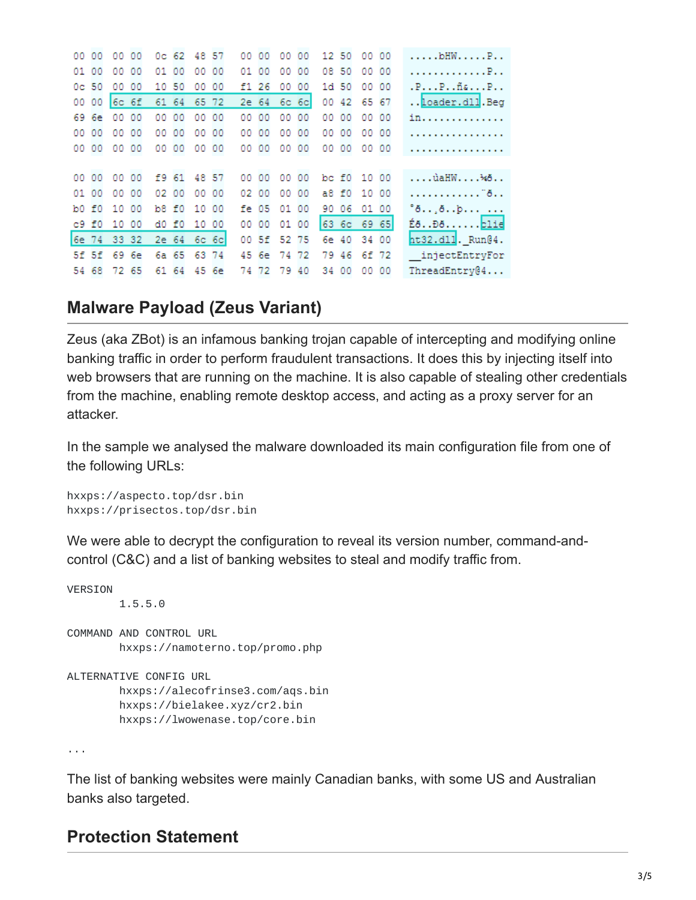| 00 00   |       | 00 00       |       |       | Oc 62 48 57 |    | 00 00 |             | 00 00 |       | 12 50 | 00 00       | $\ldots$ $\texttt{MHW}\ldots\texttt{P}\ldots$ |
|---------|-------|-------------|-------|-------|-------------|----|-------|-------------|-------|-------|-------|-------------|-----------------------------------------------|
| 01 00   |       | 00 00       | 01 00 |       | 00 00       |    | 01 00 |             | 00 00 |       | 08 50 | 00 00       | . P. .                                        |
| $0c$ 50 |       | 00 00       | 10 50 |       | 00          | 00 | f1 26 |             | 00 00 |       | 1d 50 | 00 00       | $.P. P. .$ $ñs. P. .$                         |
| 00 00   |       | $6c$ $6f$   | 61 64 |       | 65 72       |    |       | 2e 64 6c 6c |       |       | 00 42 | 65 67       | Loader.dll. Beg                               |
|         | 69 6e | 00 00       | 00 00 |       | 00 00       |    | 00 00 | 00 00       |       |       | 00 00 | 00 00       | in.                                           |
| 00 00   |       | 00 00       | 00 00 |       | 00 00       |    | 00 00 | 00 00       |       |       | 00 00 | 00 00       | .                                             |
| 00 00   |       | 00 00       |       | 00 00 | 00 00       |    | 00 00 | 00 00       |       |       | 00 00 | 00 00       | .                                             |
|         |       |             |       |       |             |    |       |             |       |       |       |             |                                               |
| 00 00   |       | 00 00       |       |       | f9 61 48 57 |    | 00 00 | 00 00       |       |       |       | bc f0 10 00 | ùaHW¾õ                                        |
| 01 00   |       | 00 00       | 02 00 |       | 00 00       |    | 02 00 |             | 00 00 |       | a8 f0 | 10 00       | . <sup>"8</sup> . .                           |
|         |       | b0 f0 10 00 |       |       | b8 f0 10 00 |    |       | fe 05 01 00 |       |       | 90 06 | 01 00       |                                               |
| c9 f0   |       | 10 00       |       | d0 f0 | 10 00       |    | 00 00 | 01 00       |       |       |       | 63 6c 69 65 | ÉðĐð <mark>blie</mark>                        |
|         |       | 6e 74 33 32 |       |       | 2e 64 6c 6c |    |       | 00 5f 52 75 |       |       |       | 6e 40 34 00 | $nt32.d11$ . $Run@4$ .                        |
|         |       | 5f 5f 69 6e |       |       | 6a 65 63 74 |    |       | 45 6e 74 72 |       | 79    | 46    | 6f 72       | injectEntryFor                                |
| 54 68   |       | 72 65       |       | 61 64 | 45 6e       |    |       | 74 72 79 40 |       | 34 00 |       | 00 00       | ThreadEntry@4                                 |
|         |       |             |       |       |             |    |       |             |       |       |       |             |                                               |

### **Malware Payload (Zeus Variant)**

Zeus (aka ZBot) is an infamous banking trojan capable of intercepting and modifying online banking traffic in order to perform fraudulent transactions. It does this by injecting itself into web browsers that are running on the machine. It is also capable of stealing other credentials from the machine, enabling remote desktop access, and acting as a proxy server for an attacker.

In the sample we analysed the malware downloaded its main configuration file from one of the following URLs:

hxxps://aspecto.top/dsr.bin hxxps://prisectos.top/dsr.bin

We were able to decrypt the configuration to reveal its version number, command-andcontrol (C&C) and a list of banking websites to steal and modify traffic from.

```
VERSION
        1.5.5.0
COMMAND AND CONTROL URL
        hxxps://namoterno.top/promo.php
ALTERNATIVE CONFIG URL
        hxxps://alecofrinse3.com/aqs.bin
        hxxps://bielakee.xyz/cr2.bin
        hxxps://lwowenase.top/core.bin
```
...

The list of banking websites were mainly Canadian banks, with some US and Australian banks also targeted.

### **Protection Statement**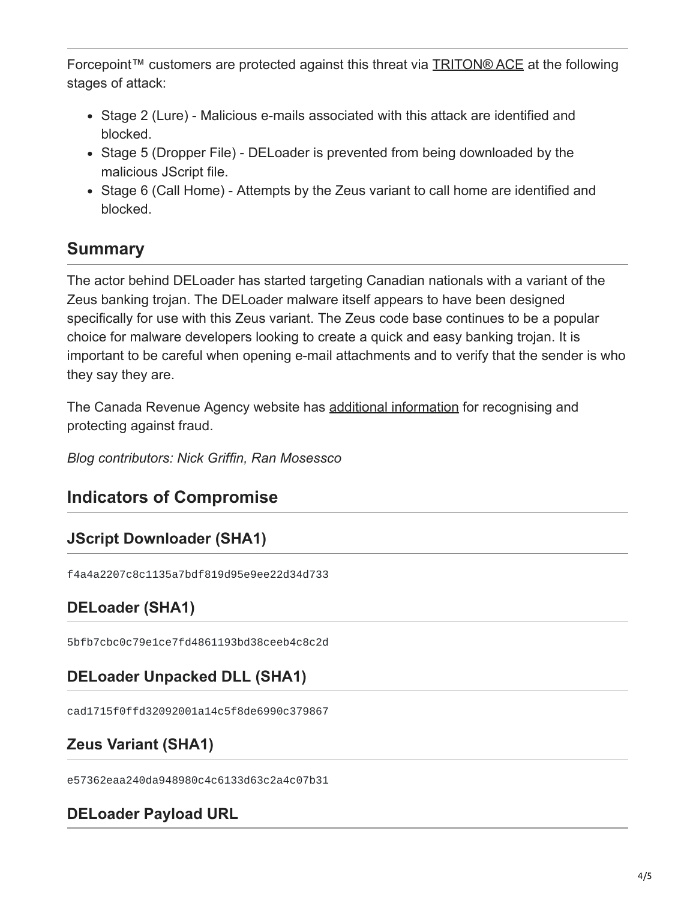Forcepoint™ customers are protected against this threat via [TRITON® ACE](https://www.forcepoint.com/innovation/technology/triton-ace?cmpid=slbl) at the following stages of attack:

- Stage 2 (Lure) Malicious e-mails associated with this attack are identified and blocked.
- Stage 5 (Dropper File) DELoader is prevented from being downloaded by the malicious JScript file.
- Stage 6 (Call Home) Attempts by the Zeus variant to call home are identified and blocked.

# **Summary**

The actor behind DELoader has started targeting Canadian nationals with a variant of the Zeus banking trojan. The DELoader malware itself appears to have been designed specifically for use with this Zeus variant. The Zeus code base continues to be a popular choice for malware developers looking to create a quick and easy banking trojan. It is important to be careful when opening e-mail attachments and to verify that the sender is who they say they are.

The Canada Revenue Agency website has [additional information](http://www.cra-arc.gc.ca/scrty/frdprvntn/menu-eng.html) for recognising and protecting against fraud.

*Blog contributors: Nick Griffin, Ran Mosessco*

# **Indicators of Compromise**

### **JScript Downloader (SHA1)**

f4a4a2207c8c1135a7bdf819d95e9ee22d34d733

### **DELoader (SHA1)**

5bfb7cbc0c79e1ce7fd4861193bd38ceeb4c8c2d

### **DELoader Unpacked DLL (SHA1)**

cad1715f0ffd32092001a14c5f8de6990c379867

### **Zeus Variant (SHA1)**

e57362eaa240da948980c4c6133d63c2a4c07b31

#### **DELoader Payload URL**